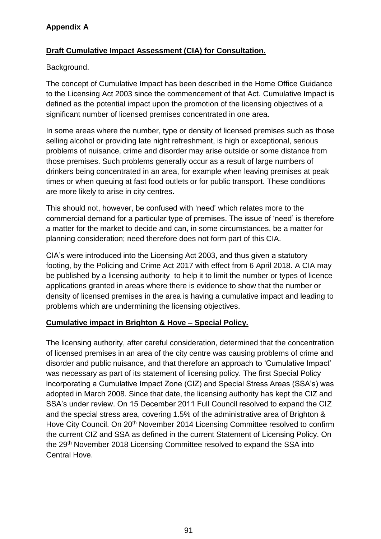# **Appendix A**

## **Draft Cumulative Impact Assessment (CIA) for Consultation.**

#### Background.

The concept of Cumulative Impact has been described in the Home Office Guidance to the Licensing Act 2003 since the commencement of that Act. Cumulative Impact is defined as the potential impact upon the promotion of the licensing objectives of a significant number of licensed premises concentrated in one area.

In some areas where the number, type or density of licensed premises such as those selling alcohol or providing late night refreshment, is high or exceptional, serious problems of nuisance, crime and disorder may arise outside or some distance from those premises. Such problems generally occur as a result of large numbers of drinkers being concentrated in an area, for example when leaving premises at peak times or when queuing at fast food outlets or for public transport. These conditions are more likely to arise in city centres.

This should not, however, be confused with 'need' which relates more to the commercial demand for a particular type of premises. The issue of 'need' is therefore a matter for the market to decide and can, in some circumstances, be a matter for planning consideration; need therefore does not form part of this CIA.

CIA's were introduced into the Licensing Act 2003, and thus given a statutory footing, by the Policing and Crime Act 2017 with effect from 6 April 2018. A CIA may be published by a licensing authority to help it to limit the number or types of licence applications granted in areas where there is evidence to show that the number or density of licensed premises in the area is having a cumulative impact and leading to problems which are undermining the licensing objectives.

## **Cumulative impact in Brighton & Hove – Special Policy.**

The licensing authority, after careful consideration, determined that the concentration of licensed premises in an area of the city centre was causing problems of crime and disorder and public nuisance, and that therefore an approach to 'Cumulative Impact' was necessary as part of its statement of licensing policy. The first Special Policy incorporating a Cumulative Impact Zone (CIZ) and Special Stress Areas (SSA's) was adopted in March 2008. Since that date, the licensing authority has kept the CIZ and SSA's under review. On 15 December 2011 Full Council resolved to expand the CIZ and the special stress area, covering 1.5% of the administrative area of Brighton & Hove City Council. On 20<sup>th</sup> November 2014 Licensing Committee resolved to confirm the current CIZ and SSA as defined in the current Statement of Licensing Policy. On the 29<sup>th</sup> November 2018 Licensing Committee resolved to expand the SSA into Central Hove.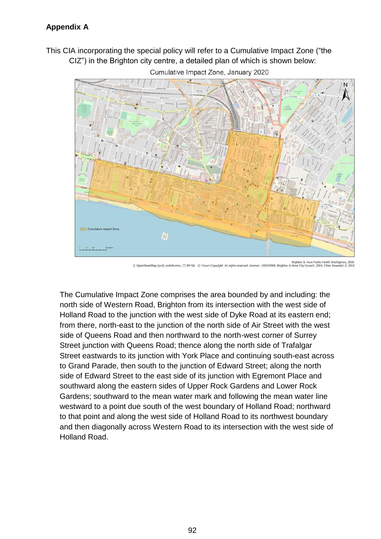This CIA incorporating the special policy will refer to a Cumulative Impact Zone ("the CIZ") in the Brighton city centre, a detailed plan of which is shown below:



Cumulative Impact Zone, January 2020

The Cumulative Impact Zone comprises the area bounded by and including: the north side of Western Road, Brighton from its intersection with the west side of Holland Road to the junction with the west side of Dyke Road at its eastern end; from there, north-east to the junction of the north side of Air Street with the west side of Queens Road and then northward to the north-west corner of Surrey Street junction with Queens Road; thence along the north side of Trafalgar Street eastwards to its junction with York Place and continuing south-east across to Grand Parade, then south to the junction of Edward Street; along the north side of Edward Street to the east side of its junction with Egremont Place and southward along the eastern sides of Upper Rock Gardens and Lower Rock Gardens; southward to the mean water mark and following the mean water line westward to a point due south of the west boundary of Holland Road; northward to that point and along the west side of Holland Road to its northwest boundary and then diagonally across Western Road to its intersection with the west side of Holland Road.

Brighton & Hove Public Health Intelligence, 2020<br>2014 @ m Copyright. All rights reserved. Licence: 100020999. Brighton & Hove City Council. 2019. Cities Revealed eetMap (and) contributors, CC-BY-SA © Cro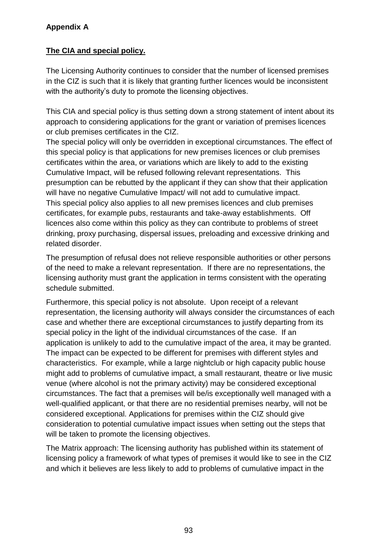# **Appendix A**

# **The CIA and special policy.**

The Licensing Authority continues to consider that the number of licensed premises in the CIZ is such that it is likely that granting further licences would be inconsistent with the authority's duty to promote the licensing objectives.

This CIA and special policy is thus setting down a strong statement of intent about its approach to considering applications for the grant or variation of premises licences or club premises certificates in the CIZ.

The special policy will only be overridden in exceptional circumstances. The effect of this special policy is that applications for new premises licences or club premises certificates within the area, or variations which are likely to add to the existing Cumulative Impact, will be refused following relevant representations. This presumption can be rebutted by the applicant if they can show that their application will have no negative Cumulative Impact/ will not add to cumulative impact. This special policy also applies to all new premises licences and club premises certificates, for example pubs, restaurants and take-away establishments. Off licences also come within this policy as they can contribute to problems of street drinking, proxy purchasing, dispersal issues, preloading and excessive drinking and related disorder.

The presumption of refusal does not relieve responsible authorities or other persons of the need to make a relevant representation. If there are no representations, the licensing authority must grant the application in terms consistent with the operating schedule submitted.

Furthermore, this special policy is not absolute. Upon receipt of a relevant representation, the licensing authority will always consider the circumstances of each case and whether there are exceptional circumstances to justify departing from its special policy in the light of the individual circumstances of the case. If an application is unlikely to add to the cumulative impact of the area, it may be granted. The impact can be expected to be different for premises with different styles and characteristics. For example, while a large nightclub or high capacity public house might add to problems of cumulative impact, a small restaurant, theatre or live music venue (where alcohol is not the primary activity) may be considered exceptional circumstances. The fact that a premises will be/is exceptionally well managed with a well-qualified applicant, or that there are no residential premises nearby, will not be considered exceptional. Applications for premises within the CIZ should give consideration to potential cumulative impact issues when setting out the steps that will be taken to promote the licensing objectives.

The Matrix approach: The licensing authority has published within its statement of licensing policy a framework of what types of premises it would like to see in the CIZ and which it believes are less likely to add to problems of cumulative impact in the